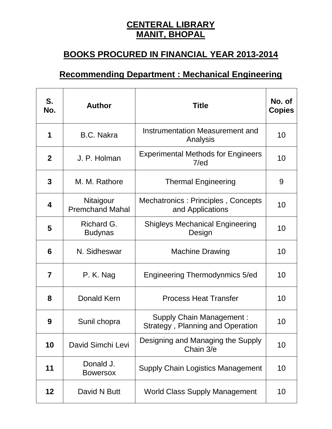## **CENTERAL LIBRARY MANIT, BHOPAL**

## **BOOKS PROCURED IN FINANCIAL YEAR 2013-2014**

## **Recommending Department : Mechanical Engineering**

| S.<br>No.    | <b>Author</b>                       | <b>Title</b>                                                               | No. of<br><b>Copies</b> |
|--------------|-------------------------------------|----------------------------------------------------------------------------|-------------------------|
| 1            | <b>B.C. Nakra</b>                   | Instrumentation Measurement and<br>Analysis                                | 10                      |
| $\mathbf{2}$ | J. P. Holman                        | <b>Experimental Methods for Engineers</b><br>7/ed                          | 10                      |
| 3            | M. M. Rathore                       | <b>Thermal Engineering</b>                                                 | 9                       |
| 4            | Nitaigour<br><b>Premchand Mahal</b> | Mechatronics: Principles, Concepts<br>and Applications                     | 10                      |
| 5            | Richard G.<br><b>Budynas</b>        | <b>Shigleys Mechanical Engineering</b><br>Design                           | 10                      |
| 6            | N. Sidheswar                        | <b>Machine Drawing</b>                                                     | 10                      |
| 7            | P. K. Nag                           | <b>Engineering Thermodynmics 5/ed</b>                                      | 10                      |
| 8            | <b>Donald Kern</b>                  | <b>Process Heat Transfer</b>                                               | 10                      |
| 9            | Sunil chopra                        | <b>Supply Chain Management:</b><br><b>Strategy, Planning and Operation</b> | 10                      |
| 10           | David Simchi Levi                   | Designing and Managing the Supply<br>Chain 3/e                             | 10                      |
| 11           | Donald J.<br><b>Bowersox</b>        | <b>Supply Chain Logistics Management</b>                                   | 10                      |
| 12           | David N Butt                        | <b>World Class Supply Management</b>                                       | 10                      |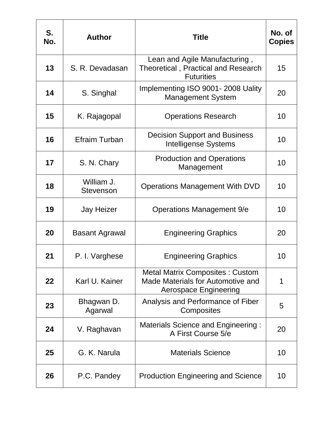| S.<br>No. | <b>Author</b>                  | Title                                                                                                | No. of<br><b>Copies</b> |
|-----------|--------------------------------|------------------------------------------------------------------------------------------------------|-------------------------|
| 13        | S. R. Devadasan                | Lean and Agile Manufacturing,<br>Theoretical, Practical and Research<br><b>Futurities</b>            | 15                      |
| 14        | S. Singhal                     | Implementing ISO 9001-2008 Uality<br><b>Management System</b>                                        | 20                      |
| 15        | K. Rajagopal                   | <b>Operations Research</b>                                                                           | 10                      |
| 16        | <b>Efraim Turban</b>           | <b>Decision Support and Business</b><br><b>Intelligense Systems</b>                                  | 10                      |
| 17        | S. N. Chary                    | <b>Production and Operations</b><br>Management                                                       | 10                      |
| 18        | William J.<br><b>Stevenson</b> | <b>Operations Management With DVD</b>                                                                | 10                      |
| 19        | <b>Jay Heizer</b>              | <b>Operations Management 9/e</b>                                                                     | 10                      |
| 20        | <b>Basant Agrawal</b>          | <b>Engineering Graphics</b>                                                                          | 20                      |
| 21        | P. I. Varghese                 | <b>Engineering Graphics</b>                                                                          | 10                      |
| 22        | Karl U. Kainer                 | <b>Metal Matrix Composites: Custom</b><br>Made Materials for Automotive and<br>Aerospace Engineering | 1                       |
| 23        | Bhagwan D.<br>Agarwal          | Analysis and Performance of Fiber<br>Composites                                                      | 5                       |
| 24        | V. Raghavan                    | Materials Science and Engineering:<br>A First Course 5/e                                             | 20                      |
| 25        | G. K. Narula                   | <b>Materials Science</b>                                                                             | 10                      |
| 26        | P.C. Pandey                    | <b>Production Engineering and Science</b>                                                            | 10                      |